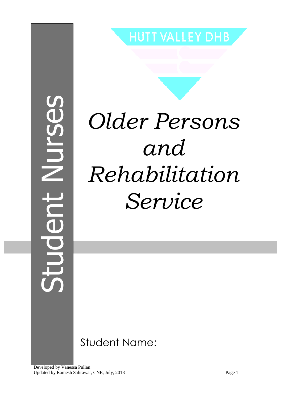Student NursesUC

**HUTT VALLEY DHB** 

# *Older Persons and Rehabilitation Service*

Student Name:

Developed by Vanessa Pullan Updated by Ramesh Sahrawat, CNE, July, 2018 Page 1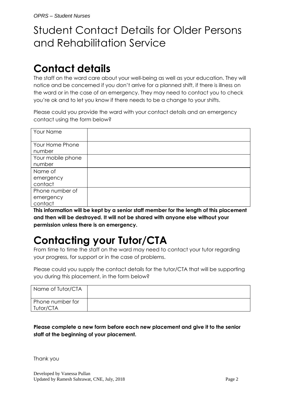# Student Contact Details for Older Persons and Rehabilitation Service

# **Contact details**

The staff on the ward care about your well-being as well as your education. They will notice and be concerned if you don't arrive for a planned shift, if there is illness on the ward or in the case of an emergency. They may need to contact you to check you're ok and to let you know if there needs to be a change to your shifts.

Please could you provide the ward with your contact details and an emergency contact using the form below?

| Your Name         |  |
|-------------------|--|
| Your Home Phone   |  |
| number            |  |
| Your mobile phone |  |
| number            |  |
|                   |  |
| Name of           |  |
| emergency         |  |
| contact           |  |
| Phone number of   |  |
| emergency         |  |

**This information will be kept by a senior staff member for the length of this placement and then will be destroyed. It will not be shared with anyone else without your permission unless there is an emergency.**

# **Contacting your Tutor/CTA**

From time to time the staff on the ward may need to contact your tutor regarding your progress, for support or in the case of problems.

Please could you supply the contact details for the tutor/CTA that will be supporting you during this placement, in the form below?

| Name of Tutor/CTA             |  |
|-------------------------------|--|
| Phone number for<br>Tutor/CTA |  |

**Please complete a new form before each new placement and give it to the senior staff at the beginning of your placement.**

Thank you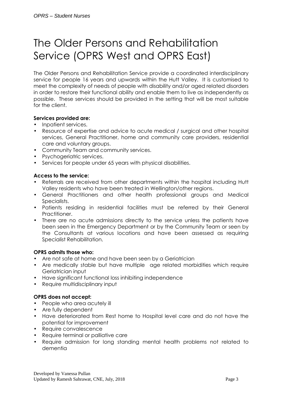# The Older Persons and Rehabilitation Service (OPRS West and OPRS East)

The Older Persons and Rehabilitation Service provide a coordinated interdisciplinary service for people 16 years and upwards within the Hutt Valley. It is customised to meet the complexity of needs of people with disability and/or aged related disorders in order to restore their functional ability and enable them to live as independently as possible. These services should be provided in the setting that will be most suitable for the client.

#### **Services provided are:**

- Inpatient services.
- Resource of expertise and advice to acute medical / surgical and other hospital services, General Practitioner, home and community care providers, residential care and voluntary groups.
- Community Team and community services.
- Psychogeriatric services.
- Services for people under 65 years with physical disabilities.

#### **Access to the service:**

- Referrals are received from other departments within the hospital including Hutt Valley residents who have been treated in Wellington/other regions.
- General Practitioners and other health professional groups and Medical Specialists.
- Patients residing in residential facilities must be referred by their General Practitioner.
- There are no acute admissions directly to the service unless the patients have been seen in the Emergency Department or by the Community Team or seen by the Consultants at various locations and have been assessed as requiring Specialist Rehabilitation.

#### **OPRS admits those who:**

- Are not safe at home and have been seen by a Geriatrician
- Are medically stable but have multiple age related morbidities which require Geriatrician input
- Have significant functional loss inhibiting independence
- Require multidisciplinary input

#### **OPRS does not accept:**

- People who area acutely ill
- Are fully dependent
- Have deteriorated from Rest home to Hospital level care and do not have the potential for improvement
- Require convalescence
- Require terminal or palliative care
- Require admission for long standing mental health problems not related to dementia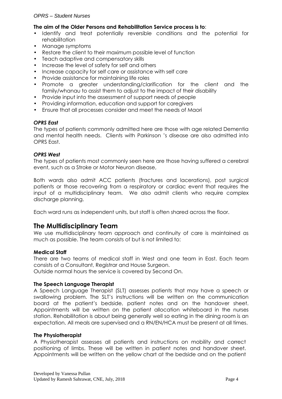#### **The aim of the Older Persons and Rehabilitation Service process is to**:

- Identify and treat potentially reversible conditions and the potential for rehabilitation
- Manage symptoms
- Restore the client to their maximum possible level of function
- Teach adaptive and compensatory skills
- Increase the level of safety for self and others
- Increase capacity for self care or assistance with self care
- Provide assistance for maintaining life roles
- Promote a greater understanding/clarification for the client and the family/whanau to assist them to adjust to the impact of their disability
- Provide input into the assessment of support needs of people
- Providing information, education and support for caregivers
- Ensure that all processes consider and meet the needs of Maori

#### *OPRS East*

The types of patients commonly admitted here are those with age related Dementia and mental health needs. Clients with Parkinson 's disease are also admitted into OPRS East.

#### *OPRS West*

The types of patients most commonly seen here are those having suffered a cerebral event, such as a Stroke or Motor Neuron disease,

Both wards also admit ACC patients (fractures and lacerations), post surgical patients or those recovering from a respiratory or cardiac event that requires the input of a multidisciplinary team. We also admit clients who require complex discharge planning.

Each ward runs as independent units, but staff is often shared across the floor.

#### **The Multidisciplinary Team**

We use multidisciplinary team approach and continuity of care is maintained as much as possible. The team consists of but is not limited to:

#### **Medical Staff**

There are two teams of medical staff in West and one team in East. Each team consists of a Consultant, Registrar and House Surgeon.

Outside normal hours the service is covered by Second On.

#### **The Speech Language Therapist**

A Speech Language Therapist (SLT) assesses patients that may have a speech or swallowing problem. The SLT's instructions will be written on the communication board at the patient's bedside, patient notes and on the handover sheet. Appointments will be written on the patient allocation whiteboard in the nurses station. Rehabilitation is about being generally well so eating in the dining room is an expectation. All meals are supervised and a RN/EN/HCA must be present at all times.

#### **The Physiotherapist**

A Physiotherapist assesses all patients and instructions on mobility and correct positioning of limbs. These will be written in patient notes and handover sheet. Appointments will be written on the yellow chart at the bedside and on the patient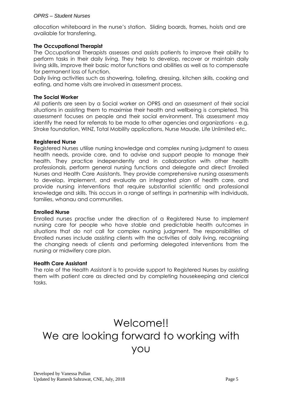#### OPRS – Student Nurses

allocation whiteboard in the nurse's station. Sliding boards, frames, hoists and are available for transferring.

#### **The Occupational Therapist**

The Occupational Therapists assesses and assists patients to improve their ability to perform tasks in their daily living. They help to develop, recover or maintain daily living skills, improve their basic motor functions and abilities as well as to compensate for permanent loss of function.

Daily living activities such as showering, toileting, dressing, kitchen skills, cooking and eating, and home visits are involved in assessment process.

#### **The Social Worker**

All patients are seen by a Social worker on OPRS and an assessment of their social situations in assisting them to maximise their health and wellbeing is completed. This assessment focuses on people and their social environment. This assessment may identify the need for referrals to be made to other agencies and organizations - e.g. Stroke foundation, WINZ, Total Mobility applications, Nurse Maude, Life Unlimited etc.

#### **Registered Nurse**

Registered Nurses utilise nursing knowledge and complex nursing judgment to assess health needs, provide care, and to advise and support people to manage their health. They practice independently and in collaboration with other health professionals, perform general nursing functions and delegate and direct Enrolled Nurses and Health Care Assistants. They provide comprehensive nursing assessments to develop, implement, and evaluate an integrated plan of health care, and provide nursing interventions that require substantial scientific and professional knowledge and skills. This occurs in a range of settings in partnership with individuals, families, whanau and communities.

#### **Enrolled Nurse**

Enrolled nurses practise under the direction of a Registered Nurse to implement nursing care for people who have stable and predictable health outcomes in situations that do not call for complex nursing judgment. The responsibilities of Enrolled nurses include assisting clients with the activities of daily living, recognising the changing needs of clients and performing delegated interventions from the nursing or midwifery care plan.

#### **Health Care Assistant**

The role of the Health Assistant is to provide support to Registered Nurses by assisting them with patient care as directed and by completing housekeeping and clerical tasks.

# Welcome!! We are looking forward to working with you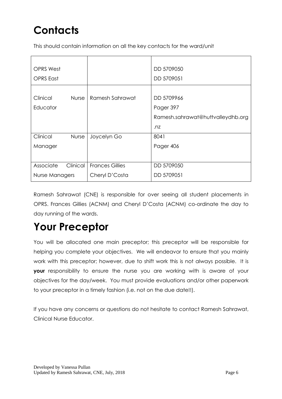# **Contacts**

This should contain information on all the key contacts for the ward/unit

| <b>OPRS West</b>      |          |                        | DD 5709050                        |
|-----------------------|----------|------------------------|-----------------------------------|
| <b>OPRS</b> East      |          |                        | DD 5709051                        |
|                       |          |                        |                                   |
| Clinical              | Nurse    | Ramesh Sahrawat        | DD 5709966                        |
| Educator              |          |                        | Pager 397                         |
|                       |          |                        | Ramesh.sahrawat@huttvalleydhb.org |
|                       |          |                        | $\overline{m}$                    |
| Clinical              | Nurse    | Joycelyn Go            | 8041                              |
| Manager               |          |                        | Pager 406                         |
|                       |          |                        |                                   |
| Associate             | Clinical | <b>Frances Gillies</b> | DD 5709050                        |
| <b>Nurse Managers</b> |          | Cheryl D'Costa         | DD 5709051                        |
|                       |          |                        |                                   |

Ramesh Sahrawat (CNE) is responsible for over seeing all student placements in OPRS. Frances Gillies (ACNM) and Cheryl D'Costa (ACNM) co-ordinate the day to day running of the wards.

# **Your Preceptor**

You will be allocated one main preceptor; this preceptor will be responsible for helping you complete your objectives. We will endeavor to ensure that you mainly work with this preceptor; however, due to shift work this is not always possible. It is **your** responsibility to ensure the nurse you are working with is aware of your objectives for the day/week. You must provide evaluations and/or other paperwork to your preceptor in a timely fashion (i.e. not on the due date!!).

If you have any concerns or questions do not hesitate to contact Ramesh Sahrawat, Clinical Nurse Educator.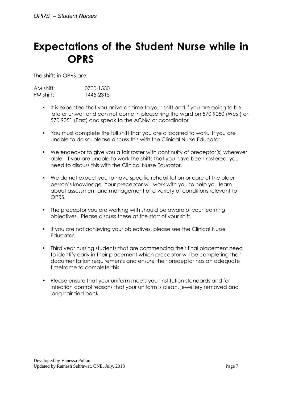### **Expectations of the Student Nurse while in OPRS**

The shifts in OPRS are:

| AM shift: | 0700-1530 |
|-----------|-----------|
| PM shift: | 1445-2315 |

- It is expected that you arrive on time to your shift and if you are going to be late or unwell and can not come in please ring the ward on 570 9050 (West) or 570 9051 (East) and speak to the ACNM or coordinator
- You must complete the full shift that you are allocated to work. If you are unable to do so, please discuss this with the Clinical Nurse Educator.
- We endeavor to give you a fair roster with continuity of preceptor(s) wherever able. If you are unable to work the shifts that you have been rostered, you need to discuss this with the Clinical Nurse Educator.
- We do not expect you to have specific rehabilitation or care of the older person's knowledge. Your preceptor will work with you to help you learn about assessment and management of a variety of conditions relevant to OPRS.
- The preceptor you are working with should be aware of your learning objectives. Please discuss these at the start of your shift.
- If you are not achieving your objectives, please see the Clinical Nurse Educator.
- Third year nursing students that are commencing their final placement need to identify early in their placement which preceptor will be completing their documentation requirements and ensure their preceptor has an adequate timeframe to complete this.
- Please ensure that your uniform meets your institution standards and for infection control reasons that your uniform is clean, jewellery removed and long hair tied back.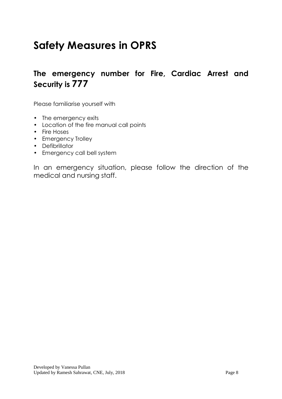# **Safety Measures in OPRS**

### **The emergency number for Fire, Cardiac Arrest and Security is 777**

Please familiarise yourself with

- The emergency exits
- Location of the fire manual call points
- Fire Hoses
- Emergency Trolley
- Defibrillator
- Emergency call bell system

In an emergency situation, please follow the direction of the medical and nursing staff.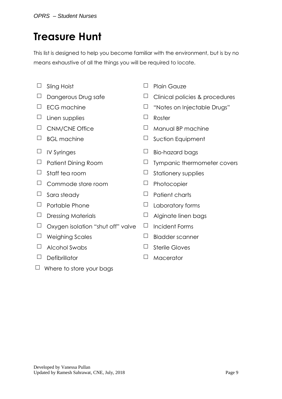## **Treasure Hunt**

This list is designed to help you become familiar with the environment, but is by no means exhaustive of all the things you will be required to locate.

- 
- 
- 
- $\Box$  Linen supplies  $\Box$  Roster
- 
- 
- 
- 
- 
- $\Box$  Commode store room  $\Box$  Photocopier
- 
- 
- 
- $\Box$  Oxygen isolation "shut off" valve  $\Box$  Incident Forms
- $\Box$  Weighing Scales  $\Box$  Bladder scanner
- $\Box$  Alcohol Swabs  $\Box$  Sterile Gloves
- $\Box$  Defibrillator  $\Box$  Macerator
- $\Box$  Where to store your bags
- $\Box$  Sling Hoist  $\Box$  Plain Gauze
- $\Box$  Dangerous Drug safe  $\Box$  Clinical policies & procedures
- $\Box$  ECG machine  $\Box$  "Notes on Injectable Drugs"
	-
- $\Box$  CNM/CNE Office  $\Box$  Manual BP machine
- $\Box$  BGL machine  $\Box$  Suction Equipment
- $\Box$  IV Syringes  $\Box$  Bio-hazard bags
- $\Box$  Patient Dining Room  $\Box$  Tympanic thermometer covers
- $\Box$  Staff tea room  $\Box$  Stationery supplies
	-
- $\Box$  Sara steady  $\Box$  Patient charts
- $\Box$  Portable Phone  $\Box$  Laboratory forms
- $\Box$  Dressing Materials  $\Box$  Alginate linen bags
	-
	-
	-
	-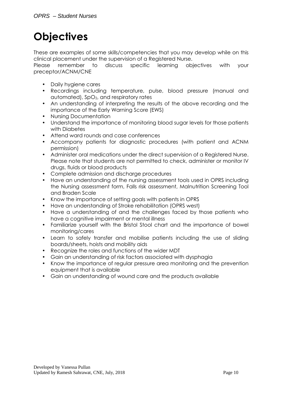# **Objectives**

These are examples of some skills/competencies that you may develop while on this clinical placement under the supervision of a Registered Nurse.

Please remember to discuss specific learning objectives with your preceptor/ACNM/CNE

- Daily hygiene cares
- Recordings including temperature, pulse, blood pressure (manual and automated), SpO2, and respiratory rates
- An understanding of interpreting the results of the above recording and the importance of the Early Warning Score (EWS)
- Nursing Documentation
- Understand the importance of monitoring blood sugar levels for those patients with Diabetes
- Attend ward rounds and case conferences
- Accompany patients for diagnostic procedures (with patient and ACNM permission)
- Administer oral medications under the direct supervision of a Registered Nurse. Please note that students are not permitted to check, administer or monitor IV drugs, fluids or blood products
- Complete admission and discharge procedures
- Have an understanding of the nursing assessment tools used in OPRS including the Nursing assessment form, Falls risk assessment, Malnutrition Screening Tool and Braden Scale
- Know the importance of setting goals with patients in OPRS
- Have an understanding of Stroke rehabilitation (OPRS west)
- Have a understanding of and the challenges faced by those patients who have a cognitive impairment or mental illness
- Familiarize yourself with the Bristol Stool chart and the importance of bowel monitoring/cares
- Learn to safely transfer and mobilise patients including the use of sliding boards/sheets, hoists and mobility aids
- Recognize the roles and functions of the wider MDT
- Gain an understanding of risk factors associated with dysphagia
- Know the importance of regular pressure area monitoring and the prevention equipment that is available
- Gain an understanding of wound care and the products available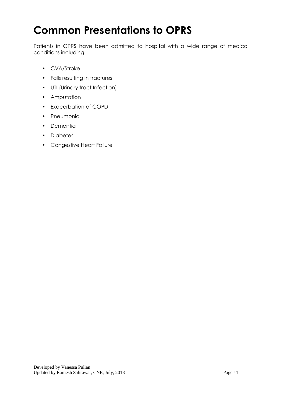# **Common Presentations to OPRS**

Patients in OPRS have been admitted to hospital with a wide range of medical conditions including

- CVA/Stroke
- Falls resulting in fractures
- UTI (Urinary tract Infection)
- Amputation
- Exacerbation of COPD
- Pneumonia
- Dementia
- Diabetes
- Congestive Heart Failure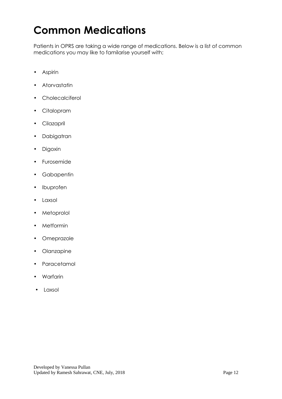# **Common Medications**

Patients in OPRS are taking a wide range of medications. Below is a list of common medications you may like to familarise yourself with;

- Aspirin
- Atorvastatin
- Cholecalciferol
- Citalopram
- Cilazapril
- Dabigatran
- Digoxin
- Furosemide
- Gabapentin
- Ibuprofen
- Laxsol
- Metoprolol
- Metformin
- Omeprazole
- Olanzapine
- **Paracetamol**
- Warfarin
- Laxsol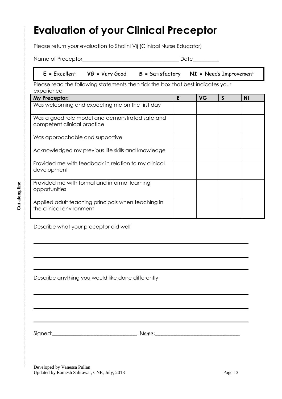# **Evaluation of your Clinical Preceptor**

Please return your evaluation to Shalini Vij (Clinical Nurse Educator)

Name of Preceptor\_\_\_\_\_\_\_\_\_\_\_\_\_\_\_\_\_\_\_\_\_\_\_\_\_\_\_\_\_\_\_\_\_\_\_\_\_ Date\_\_\_\_\_\_\_\_\_\_

#### **E =** Excellent **VG =** Very Good **S =** Satisfactory **NI =** Needs Improvement

Please read the following statements then tick the box that best indicates your experience

| My Preceptor:                                                                  | F | <b>VG</b> | S | <b>NI</b> |
|--------------------------------------------------------------------------------|---|-----------|---|-----------|
| Was welcoming and expecting me on the first day                                |   |           |   |           |
| Was a good role model and demonstrated safe and<br>competent clinical practice |   |           |   |           |
| Was approachable and supportive                                                |   |           |   |           |
| Acknowledged my previous life skills and knowledge                             |   |           |   |           |
| Provided me with feedback in relation to my clinical<br>development            |   |           |   |           |
| Provided me with formal and informal learning<br>opportunities                 |   |           |   |           |
| Applied adult teaching principals when teaching in<br>the clinical environment |   |           |   |           |

Describe what your preceptor did well

Describe anything you would like done differently

Signed:\_\_\_\_\_\_\_\_\_\_\_\_\_\_\_\_\_\_\_\_\_\_\_\_\_\_\_\_ Name:\_\_\_\_\_\_\_\_\_\_\_\_\_\_\_\_\_\_\_\_\_\_\_\_\_\_

Developed by Vanessa Pullan Updated by Ramesh Sahrawat, CNE, July, 2018 Page 13